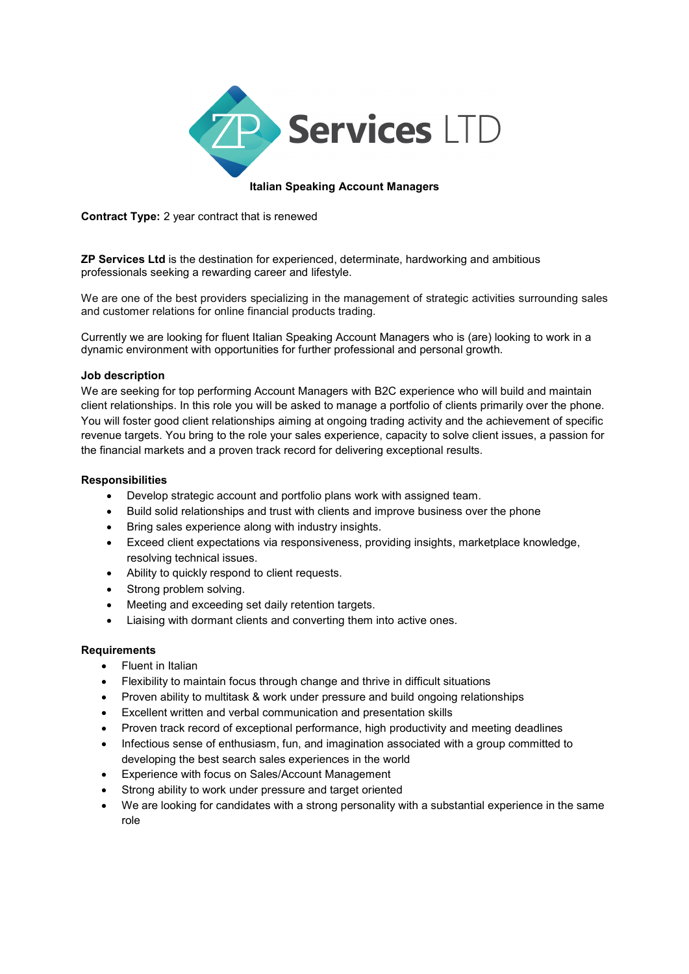

### Italian Speaking Account Managers

Contract Type: 2 year contract that is renewed

ZP Services Ltd is the destination for experienced, determinate, hardworking and ambitious professionals seeking a rewarding career and lifestyle.

We are one of the best providers specializing in the management of strategic activities surrounding sales and customer relations for online financial products trading.

Currently we are looking for fluent Italian Speaking Account Managers who is (are) looking to work in a dynamic environment with opportunities for further professional and personal growth.

#### Job description

We are seeking for top performing Account Managers with B2C experience who will build and maintain client relationships. In this role you will be asked to manage a portfolio of clients primarily over the phone. You will foster good client relationships aiming at ongoing trading activity and the achievement of specific revenue targets. You bring to the role your sales experience, capacity to solve client issues, a passion for the financial markets and a proven track record for delivering exceptional results.

### Responsibilities

- Develop strategic account and portfolio plans work with assigned team.
- Build solid relationships and trust with clients and improve business over the phone
- Bring sales experience along with industry insights.
- Exceed client expectations via responsiveness, providing insights, marketplace knowledge, resolving technical issues.
- Ability to quickly respond to client requests.
- Strong problem solving.
- Meeting and exceeding set daily retention targets.
- Liaising with dormant clients and converting them into active ones.

### **Requirements**

- Fluent in Italian
- Flexibility to maintain focus through change and thrive in difficult situations
- Proven ability to multitask & work under pressure and build ongoing relationships
- Excellent written and verbal communication and presentation skills
- Proven track record of exceptional performance, high productivity and meeting deadlines
- Infectious sense of enthusiasm, fun, and imagination associated with a group committed to developing the best search sales experiences in the world
- Experience with focus on Sales/Account Management
- Strong ability to work under pressure and target oriented
- We are looking for candidates with a strong personality with a substantial experience in the same role